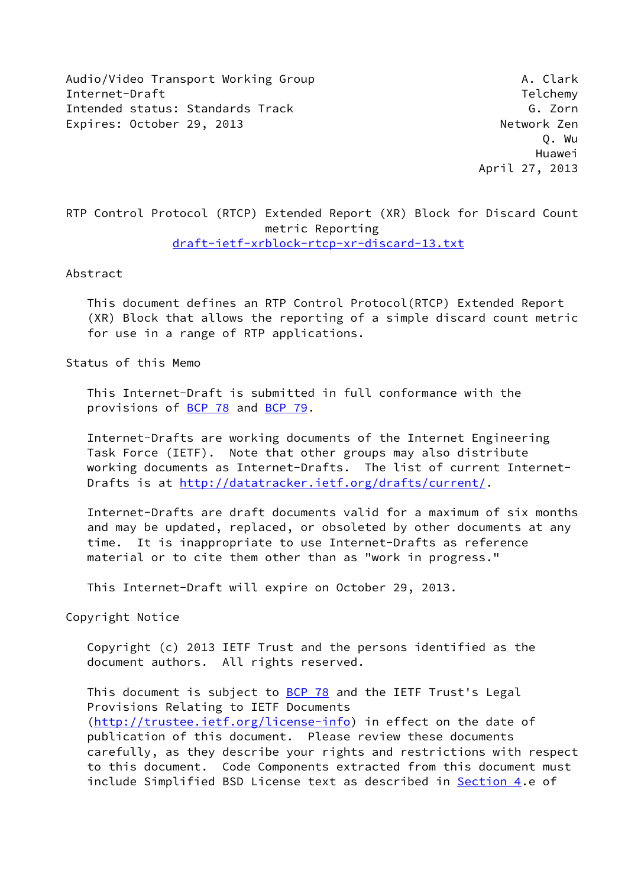Audio/Video Transport Working Group And Audio/Video Transport Working Group Internet-Draft Telchemy and the United States of the United States of the Telchemy Intended status: Standards Track G. Zorn Expires: October 29, 2013 and the experience of the Network Zen

 Q. Wu Huawei April 27, 2013

# RTP Control Protocol (RTCP) Extended Report (XR) Block for Discard Count metric Reporting [draft-ietf-xrblock-rtcp-xr-discard-13.txt](https://datatracker.ietf.org/doc/pdf/draft-ietf-xrblock-rtcp-xr-discard-13.txt)

### Abstract

 This document defines an RTP Control Protocol(RTCP) Extended Report (XR) Block that allows the reporting of a simple discard count metric for use in a range of RTP applications.

Status of this Memo

 This Internet-Draft is submitted in full conformance with the provisions of [BCP 78](https://datatracker.ietf.org/doc/pdf/bcp78) and [BCP 79](https://datatracker.ietf.org/doc/pdf/bcp79).

 Internet-Drafts are working documents of the Internet Engineering Task Force (IETF). Note that other groups may also distribute working documents as Internet-Drafts. The list of current Internet Drafts is at<http://datatracker.ietf.org/drafts/current/>.

 Internet-Drafts are draft documents valid for a maximum of six months and may be updated, replaced, or obsoleted by other documents at any time. It is inappropriate to use Internet-Drafts as reference material or to cite them other than as "work in progress."

This Internet-Draft will expire on October 29, 2013.

Copyright Notice

 Copyright (c) 2013 IETF Trust and the persons identified as the document authors. All rights reserved.

This document is subject to **[BCP 78](https://datatracker.ietf.org/doc/pdf/bcp78)** and the IETF Trust's Legal Provisions Relating to IETF Documents [\(http://trustee.ietf.org/license-info](http://trustee.ietf.org/license-info)) in effect on the date of publication of this document. Please review these documents carefully, as they describe your rights and restrictions with respect to this document. Code Components extracted from this document must include Simplified BSD License text as described in [Section 4.](#page-9-0)e of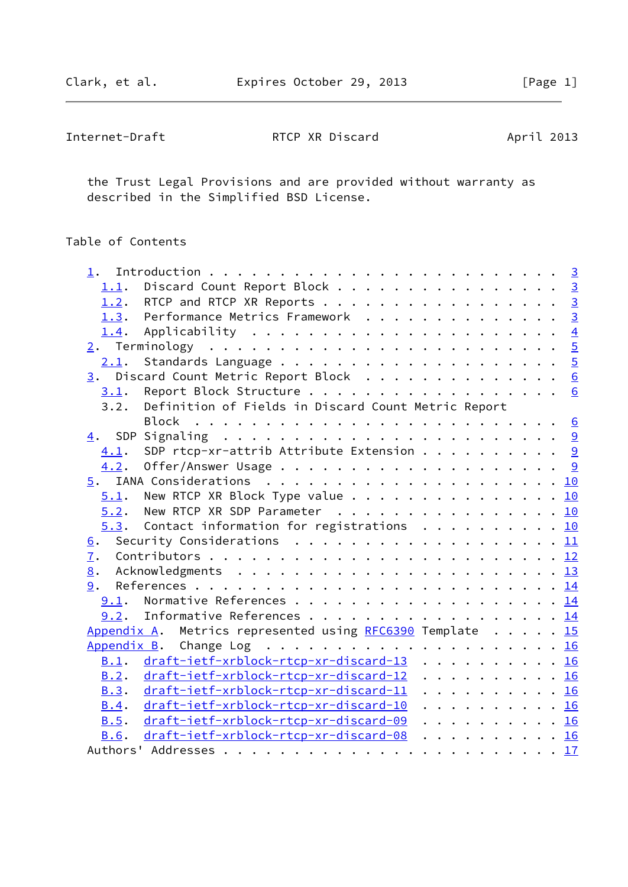| Internet-Draft | RTCP XR Discard | April 2013 |
|----------------|-----------------|------------|
|----------------|-----------------|------------|

 the Trust Legal Provisions and are provided without warranty as described in the Simplified BSD License.

# Table of Contents

| 1.1. | Discard Count Report Block 3                                                              |  |  |  |  |  |  |
|------|-------------------------------------------------------------------------------------------|--|--|--|--|--|--|
|      | 1.2. RTCP and RTCP XR Reports 3                                                           |  |  |  |  |  |  |
|      | 1.3. Performance Metrics Framework 3                                                      |  |  |  |  |  |  |
|      | <u>1.4</u> . Applicability <u>4</u>                                                       |  |  |  |  |  |  |
|      |                                                                                           |  |  |  |  |  |  |
|      |                                                                                           |  |  |  |  |  |  |
|      | 3. Discard Count Metric Report Block 6                                                    |  |  |  |  |  |  |
|      | 3.1. Report Block Structure 6                                                             |  |  |  |  |  |  |
| 3.2. | Definition of Fields in Discard Count Metric Report                                       |  |  |  |  |  |  |
|      |                                                                                           |  |  |  |  |  |  |
|      |                                                                                           |  |  |  |  |  |  |
| 4.1. | SDP rtcp-xr-attrib Attribute Extension 9                                                  |  |  |  |  |  |  |
| 4.2. |                                                                                           |  |  |  |  |  |  |
|      |                                                                                           |  |  |  |  |  |  |
|      | $\underline{5.1}$ . New RTCP XR Block Type value 10                                       |  |  |  |  |  |  |
|      | $5.2$ . New RTCP XR SDP Parameter 10                                                      |  |  |  |  |  |  |
|      | $5.3$ . Contact information for registrations 10                                          |  |  |  |  |  |  |
| 6.   | Security Considerations $\ldots \ldots \ldots \ldots \ldots \ldots \ldots \underline{11}$ |  |  |  |  |  |  |
| 7.   |                                                                                           |  |  |  |  |  |  |
| 8.   |                                                                                           |  |  |  |  |  |  |
|      |                                                                                           |  |  |  |  |  |  |
|      | 9.1. Normative References 14                                                              |  |  |  |  |  |  |
|      | 9.2. Informative References 14                                                            |  |  |  |  |  |  |
|      | Appendix A. Metrics represented using RFC6390 Template 15                                 |  |  |  |  |  |  |
|      |                                                                                           |  |  |  |  |  |  |
| B.1. | draft-ietf-xrblock-rtcp-xr-discard-13 16                                                  |  |  |  |  |  |  |
| B.2. | draft-ietf-xrblock-rtcp-xr-discard-12 16                                                  |  |  |  |  |  |  |
| B.3. | draft-ietf-xrblock-rtcp-xr-discard-11 16                                                  |  |  |  |  |  |  |
| B.4. | draft-ietf-xrblock-rtcp-xr-discard-10 16                                                  |  |  |  |  |  |  |
| B.5. | draft-ietf-xrblock-rtcp-xr-discard-09 16                                                  |  |  |  |  |  |  |
| B.6. | draft-ietf-xrblock-rtcp-xr-discard-08 16                                                  |  |  |  |  |  |  |
|      |                                                                                           |  |  |  |  |  |  |
|      |                                                                                           |  |  |  |  |  |  |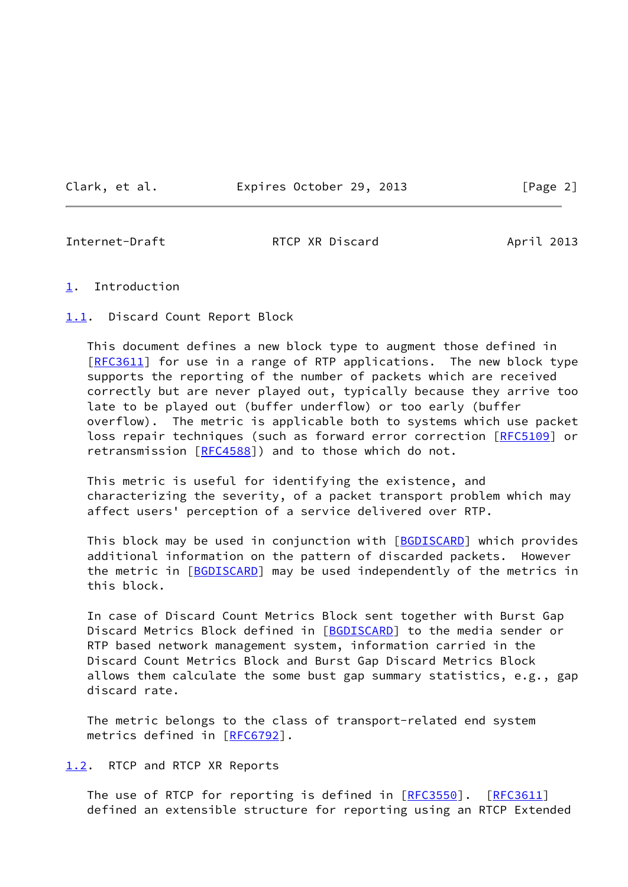Clark, et al. **Expires October 29, 2013** [Page 2]

<span id="page-2-1"></span>

Internet-Draft **RTCP XR Discard** April 2013

- <span id="page-2-0"></span>[1](#page-2-0). Introduction
- <span id="page-2-2"></span>[1.1](#page-2-2). Discard Count Report Block

 This document defines a new block type to augment those defined in [\[RFC3611](https://datatracker.ietf.org/doc/pdf/rfc3611)] for use in a range of RTP applications. The new block type supports the reporting of the number of packets which are received correctly but are never played out, typically because they arrive too late to be played out (buffer underflow) or too early (buffer overflow). The metric is applicable both to systems which use packet loss repair techniques (such as forward error correction [\[RFC5109](https://datatracker.ietf.org/doc/pdf/rfc5109)] or retransmission [\[RFC4588](https://datatracker.ietf.org/doc/pdf/rfc4588)]) and to those which do not.

 This metric is useful for identifying the existence, and characterizing the severity, of a packet transport problem which may affect users' perception of a service delivered over RTP.

This block may be used in conjunction with [[BGDISCARD\]](#page-15-3) which provides additional information on the pattern of discarded packets. However the metric in [[BGDISCARD\]](#page-15-3) may be used independently of the metrics in this block.

 In case of Discard Count Metrics Block sent together with Burst Gap Discard Metrics Block defined in [\[BGDISCARD\]](#page-15-3) to the media sender or RTP based network management system, information carried in the Discard Count Metrics Block and Burst Gap Discard Metrics Block allows them calculate the some bust gap summary statistics, e.g., gap discard rate.

 The metric belongs to the class of transport-related end system metrics defined in [[RFC6792\]](https://datatracker.ietf.org/doc/pdf/rfc6792).

<span id="page-2-3"></span>[1.2](#page-2-3). RTCP and RTCP XR Reports

The use of RTCP for reporting is defined in [\[RFC3550](https://datatracker.ietf.org/doc/pdf/rfc3550)]. [\[RFC3611](https://datatracker.ietf.org/doc/pdf/rfc3611)] defined an extensible structure for reporting using an RTCP Extended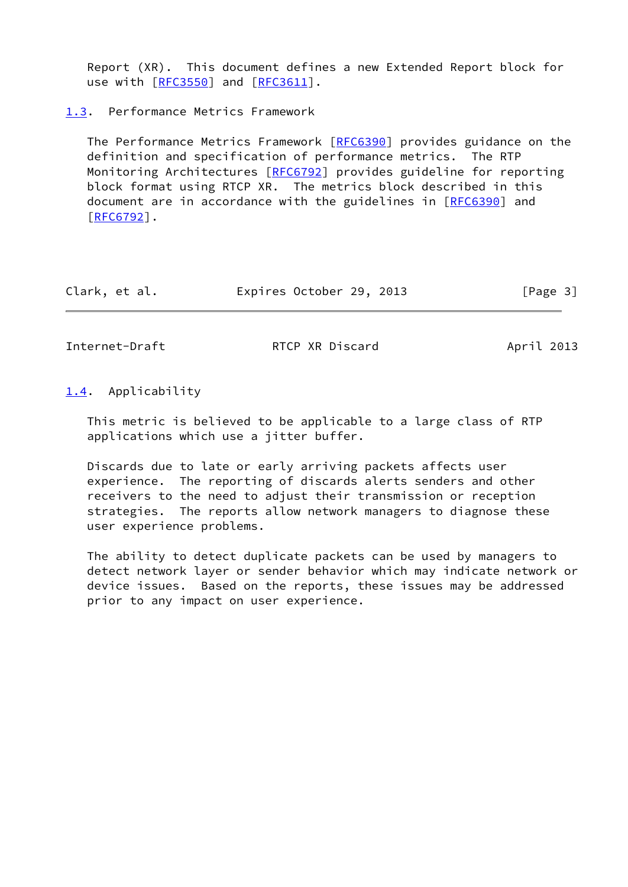Report (XR). This document defines a new Extended Report block for use with [\[RFC3550](https://datatracker.ietf.org/doc/pdf/rfc3550)] and [\[RFC3611](https://datatracker.ietf.org/doc/pdf/rfc3611)].

<span id="page-3-0"></span>[1.3](#page-3-0). Performance Metrics Framework

 The Performance Metrics Framework [[RFC6390](https://datatracker.ietf.org/doc/pdf/rfc6390)] provides guidance on the definition and specification of performance metrics. The RTP Monitoring Architectures [\[RFC6792](https://datatracker.ietf.org/doc/pdf/rfc6792)] provides guideline for reporting block format using RTCP XR. The metrics block described in this document are in accordance with the guidelines in [[RFC6390](https://datatracker.ietf.org/doc/pdf/rfc6390)] and [\[RFC6792](https://datatracker.ietf.org/doc/pdf/rfc6792)].

| Clark, et al. | Expires October 29, 2013 |  | [Page 3] |
|---------------|--------------------------|--|----------|
|---------------|--------------------------|--|----------|

<span id="page-3-2"></span>Internet-Draft **RTCP XR Discard** April 2013

<span id="page-3-1"></span>[1.4](#page-3-1). Applicability

 This metric is believed to be applicable to a large class of RTP applications which use a jitter buffer.

 Discards due to late or early arriving packets affects user experience. The reporting of discards alerts senders and other receivers to the need to adjust their transmission or reception strategies. The reports allow network managers to diagnose these user experience problems.

 The ability to detect duplicate packets can be used by managers to detect network layer or sender behavior which may indicate network or device issues. Based on the reports, these issues may be addressed prior to any impact on user experience.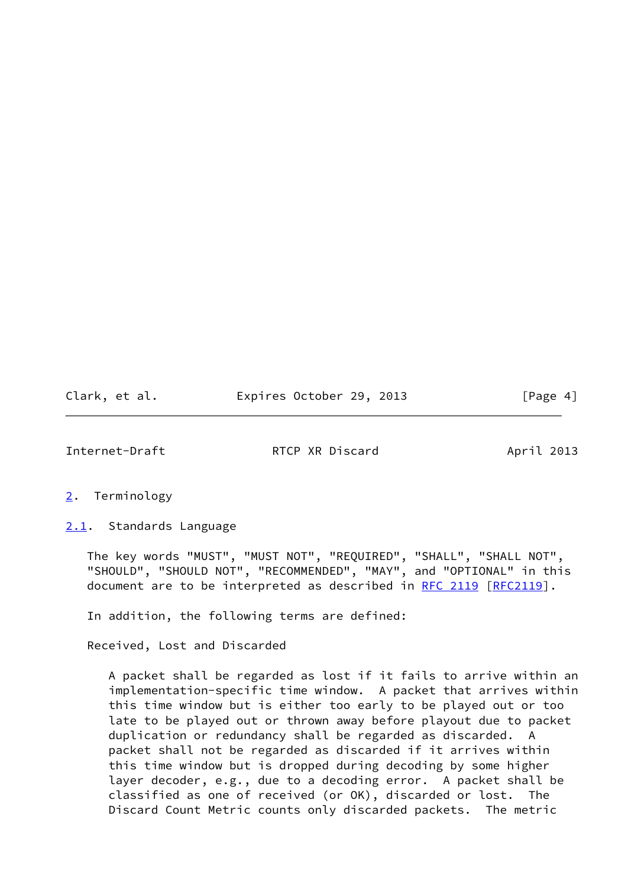Clark, et al. **Expires October 29, 2013** [Page 4]

<span id="page-4-1"></span>Internet-Draft **RTCP XR Discard** April 2013

## <span id="page-4-0"></span>[2](#page-4-0). Terminology

<span id="page-4-2"></span>[2.1](#page-4-2). Standards Language

 The key words "MUST", "MUST NOT", "REQUIRED", "SHALL", "SHALL NOT", "SHOULD", "SHOULD NOT", "RECOMMENDED", "MAY", and "OPTIONAL" in this document are to be interpreted as described in [RFC 2119 \[RFC2119](https://datatracker.ietf.org/doc/pdf/rfc2119)].

In addition, the following terms are defined:

Received, Lost and Discarded

 A packet shall be regarded as lost if it fails to arrive within an implementation-specific time window. A packet that arrives within this time window but is either too early to be played out or too late to be played out or thrown away before playout due to packet duplication or redundancy shall be regarded as discarded. A packet shall not be regarded as discarded if it arrives within this time window but is dropped during decoding by some higher layer decoder, e.g., due to a decoding error. A packet shall be classified as one of received (or OK), discarded or lost. The Discard Count Metric counts only discarded packets. The metric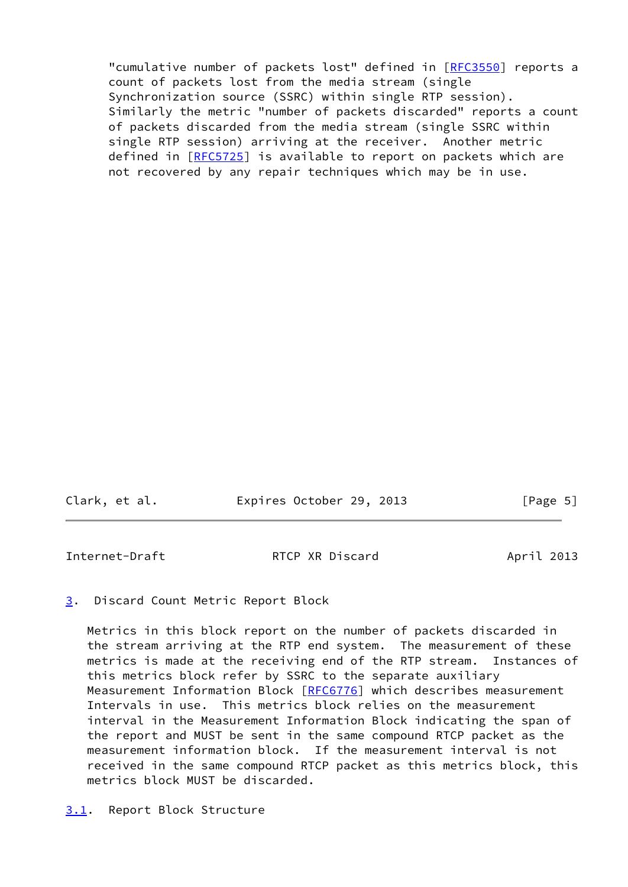"cumulative number of packets lost" defined in [[RFC3550](https://datatracker.ietf.org/doc/pdf/rfc3550)] reports a count of packets lost from the media stream (single Synchronization source (SSRC) within single RTP session). Similarly the metric "number of packets discarded" reports a count of packets discarded from the media stream (single SSRC within single RTP session) arriving at the receiver. Another metric defined in [[RFC5725](https://datatracker.ietf.org/doc/pdf/rfc5725)] is available to report on packets which are not recovered by any repair techniques which may be in use.

Clark, et al. Expires October 29, 2013 [Page 5]

<span id="page-5-1"></span>Internet-Draft RTCP XR Discard April 2013

<span id="page-5-0"></span>[3](#page-5-0). Discard Count Metric Report Block

 Metrics in this block report on the number of packets discarded in the stream arriving at the RTP end system. The measurement of these metrics is made at the receiving end of the RTP stream. Instances of this metrics block refer by SSRC to the separate auxiliary Measurement Information Block [[RFC6776](https://datatracker.ietf.org/doc/pdf/rfc6776)] which describes measurement Intervals in use. This metrics block relies on the measurement interval in the Measurement Information Block indicating the span of the report and MUST be sent in the same compound RTCP packet as the measurement information block. If the measurement interval is not received in the same compound RTCP packet as this metrics block, this metrics block MUST be discarded.

<span id="page-5-2"></span>[3.1](#page-5-2). Report Block Structure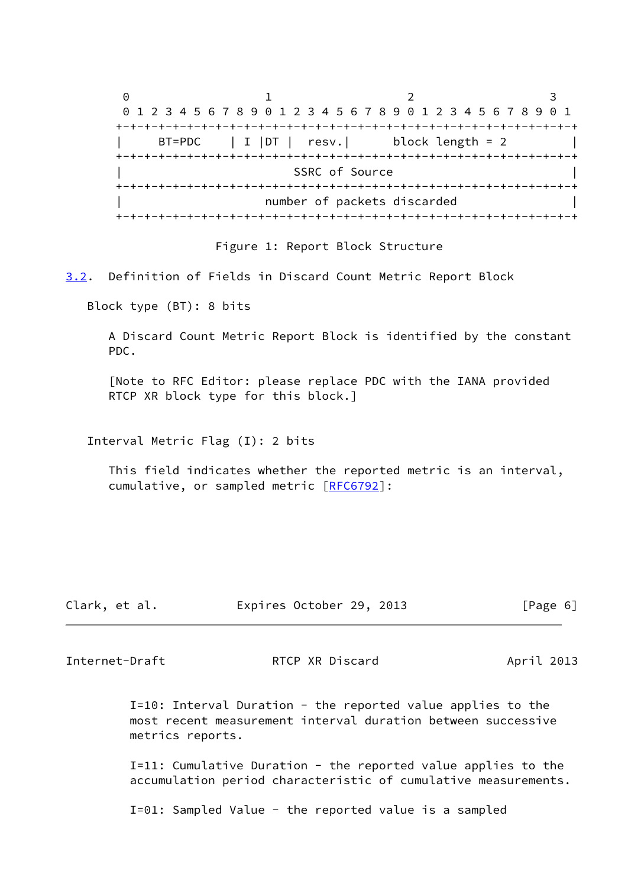$0$  1 2 3 0 1 2 3 4 5 6 7 8 9 0 1 2 3 4 5 6 7 8 9 0 1 2 3 4 5 6 7 8 9 0 1 +-+-+-+-+-+-+-+-+-+-+-+-+-+-+-+-+-+-+-+-+-+-+-+-+-+-+-+-+-+-+-+-+  $BT= PDC$  | I | DT | resv. | block length = 2 +-+-+-+-+-+-+-+-+-+-+-+-+-+-+-+-+-+-+-+-+-+-+-+-+-+-+-+-+-+-+-+-+ SSRC of Source +-+-+-+-+-+-+-+-+-+-+-+-+-+-+-+-+-+-+-+-+-+-+-+-+-+-+-+-+-+-+-+-+ number of packets discarded +-+-+-+-+-+-+-+-+-+-+-+-+-+-+-+-+-+-+-+-+-+-+-+-+-+-+-+-+-+-+-+-+

Figure 1: Report Block Structure

<span id="page-6-0"></span>[3.2](#page-6-0). Definition of Fields in Discard Count Metric Report Block

Block type (BT): 8 bits

 A Discard Count Metric Report Block is identified by the constant PDC.

 [Note to RFC Editor: please replace PDC with the IANA provided RTCP XR block type for this block.]

Interval Metric Flag (I): 2 bits

 This field indicates whether the reported metric is an interval, cumulative, or sampled metric [\[RFC6792](https://datatracker.ietf.org/doc/pdf/rfc6792)]:

| Expires October 29, 2013<br>Clark, et al. | [Page 6] |
|-------------------------------------------|----------|
|-------------------------------------------|----------|

Internet-Draft **RTCP XR Discard** April 2013

 I=10: Interval Duration - the reported value applies to the most recent measurement interval duration between successive metrics reports.

 I=11: Cumulative Duration - the reported value applies to the accumulation period characteristic of cumulative measurements.

I=01: Sampled Value - the reported value is a sampled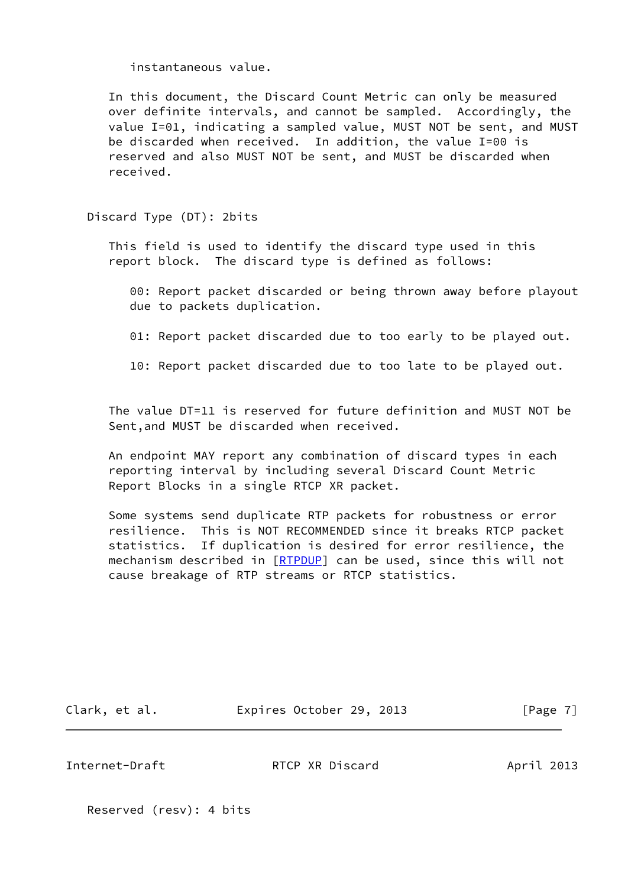instantaneous value.

 In this document, the Discard Count Metric can only be measured over definite intervals, and cannot be sampled. Accordingly, the value I=01, indicating a sampled value, MUST NOT be sent, and MUST be discarded when received. In addition, the value I=00 is reserved and also MUST NOT be sent, and MUST be discarded when received.

Discard Type (DT): 2bits

 This field is used to identify the discard type used in this report block. The discard type is defined as follows:

 00: Report packet discarded or being thrown away before playout due to packets duplication.

01: Report packet discarded due to too early to be played out.

10: Report packet discarded due to too late to be played out.

 The value DT=11 is reserved for future definition and MUST NOT be Sent,and MUST be discarded when received.

 An endpoint MAY report any combination of discard types in each reporting interval by including several Discard Count Metric Report Blocks in a single RTCP XR packet.

 Some systems send duplicate RTP packets for robustness or error resilience. This is NOT RECOMMENDED since it breaks RTCP packet statistics. If duplication is desired for error resilience, the mechanism described in [[RTPDUP](#page-15-4)] can be used, since this will not cause breakage of RTP streams or RTCP statistics.

Clark, et al. **Expires October 29, 2013** [Page 7]

Internet-Draft **RTCP XR Discard** April 2013

Reserved (resv): 4 bits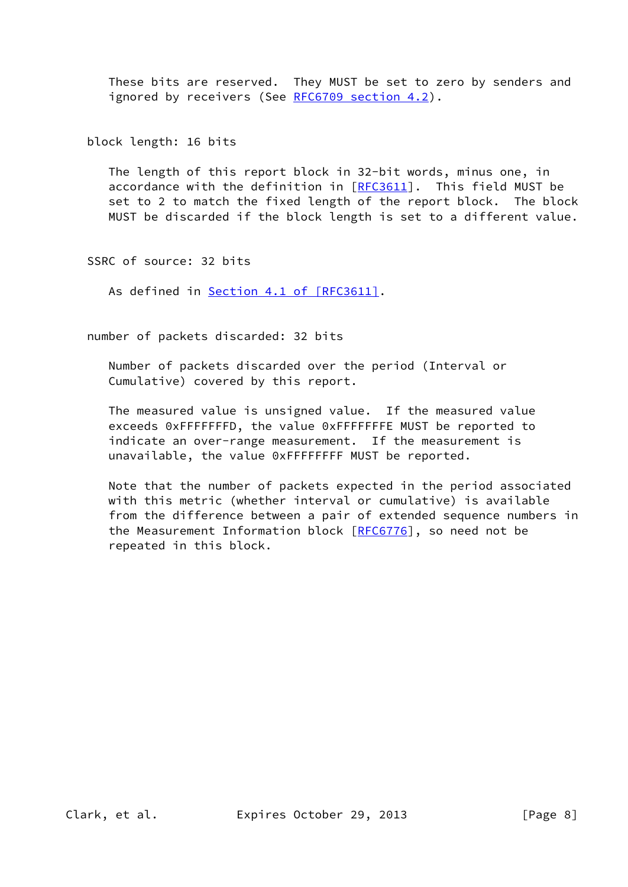These bits are reserved. They MUST be set to zero by senders and ignored by receivers (See [RFC6709 section](https://datatracker.ietf.org/doc/pdf/rfc6709#section-4.2) 4.2).

block length: 16 bits

 The length of this report block in 32-bit words, minus one, in accordance with the definition in  $[RECS611]$ . This field MUST be set to 2 to match the fixed length of the report block. The block MUST be discarded if the block length is set to a different value.

SSRC of source: 32 bits

As defined in Section [4.1 of \[RFC3611\]](https://datatracker.ietf.org/doc/pdf/rfc3611#section-4.1).

number of packets discarded: 32 bits

 Number of packets discarded over the period (Interval or Cumulative) covered by this report.

 The measured value is unsigned value. If the measured value exceeds 0xFFFFFFFD, the value 0xFFFFFFFE MUST be reported to indicate an over-range measurement. If the measurement is unavailable, the value 0xFFFFFFFF MUST be reported.

 Note that the number of packets expected in the period associated with this metric (whether interval or cumulative) is available from the difference between a pair of extended sequence numbers in the Measurement Information block [\[RFC6776](https://datatracker.ietf.org/doc/pdf/rfc6776)], so need not be repeated in this block.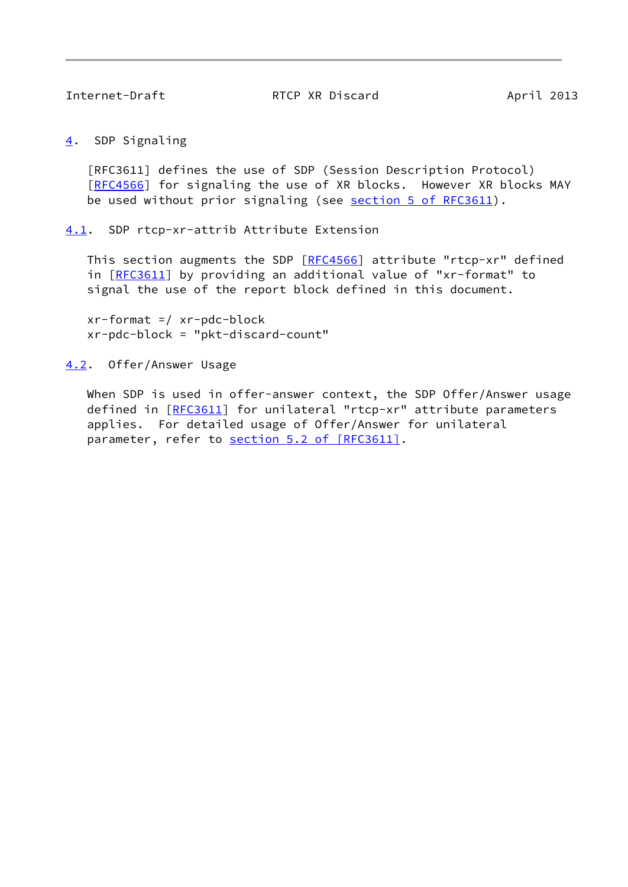<span id="page-9-1"></span>

<span id="page-9-0"></span>[4](#page-9-0). SDP Signaling

 [RFC3611] defines the use of SDP (Session Description Protocol) [\[RFC4566](https://datatracker.ietf.org/doc/pdf/rfc4566)] for signaling the use of XR blocks. However XR blocks MAY be used without prior signaling (see section [5 of RFC3611](https://datatracker.ietf.org/doc/pdf/rfc3611#section-5)).

<span id="page-9-2"></span>[4.1](#page-9-2). SDP rtcp-xr-attrib Attribute Extension

This section augments the SDP [[RFC4566](https://datatracker.ietf.org/doc/pdf/rfc4566)] attribute "rtcp-xr" defined in [[RFC3611\]](https://datatracker.ietf.org/doc/pdf/rfc3611) by providing an additional value of "xr-format" to signal the use of the report block defined in this document.

 $xr-format$  =/  $xr-pdc-block$ xr-pdc-block = "pkt-discard-count"

<span id="page-9-3"></span>[4.2](#page-9-3). Offer/Answer Usage

When SDP is used in offer-answer context, the SDP Offer/Answer usage defined in [[RFC3611\]](https://datatracker.ietf.org/doc/pdf/rfc3611) for unilateral "rtcp-xr" attribute parameters applies. For detailed usage of Offer/Answer for unilateral parameter, refer to section [5.2 of \[RFC3611\].](https://datatracker.ietf.org/doc/pdf/rfc3611#section-5.2)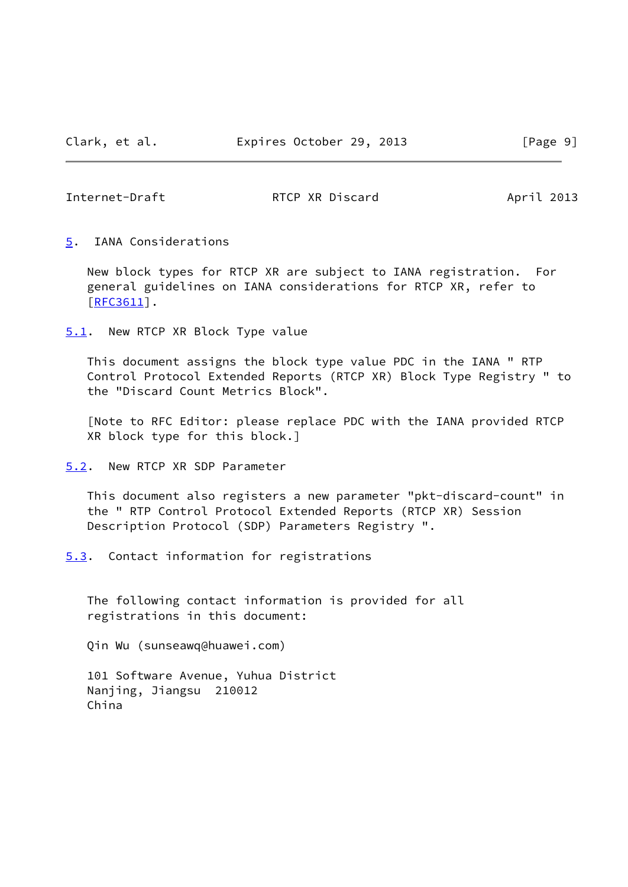<span id="page-10-1"></span>

<span id="page-10-0"></span>[5](#page-10-0). IANA Considerations

 New block types for RTCP XR are subject to IANA registration. For general guidelines on IANA considerations for RTCP XR, refer to [\[RFC3611](https://datatracker.ietf.org/doc/pdf/rfc3611)].

<span id="page-10-2"></span>[5.1](#page-10-2). New RTCP XR Block Type value

 This document assigns the block type value PDC in the IANA " RTP Control Protocol Extended Reports (RTCP XR) Block Type Registry " to the "Discard Count Metrics Block".

 [Note to RFC Editor: please replace PDC with the IANA provided RTCP XR block type for this block.]

<span id="page-10-3"></span>[5.2](#page-10-3). New RTCP XR SDP Parameter

 This document also registers a new parameter "pkt-discard-count" in the " RTP Control Protocol Extended Reports (RTCP XR) Session Description Protocol (SDP) Parameters Registry ".

<span id="page-10-4"></span>[5.3](#page-10-4). Contact information for registrations

 The following contact information is provided for all registrations in this document:

Qin Wu (sunseawq@huawei.com)

 101 Software Avenue, Yuhua District Nanjing, Jiangsu 210012 China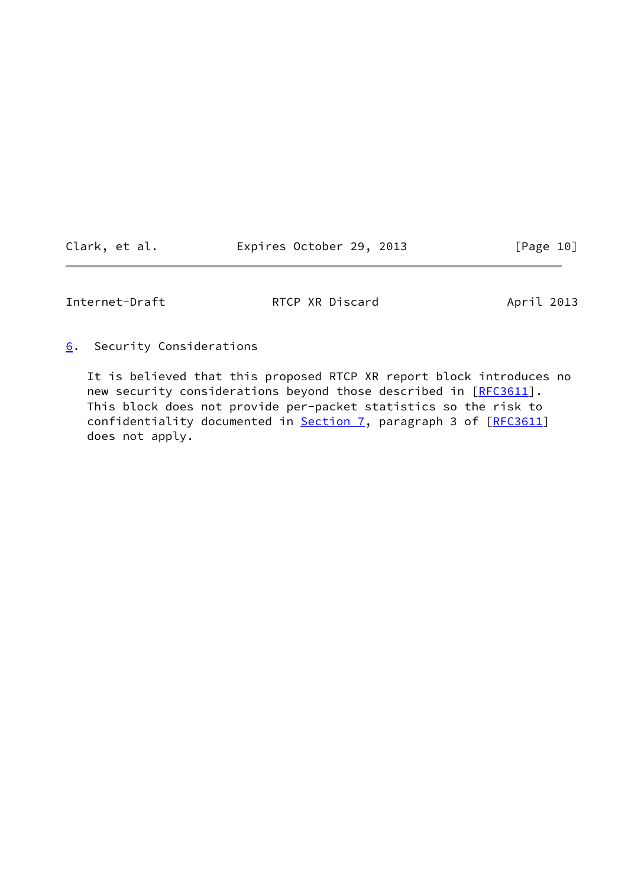| Clark, et al. | Expires October 29, 2013 |  | [Page 10] |
|---------------|--------------------------|--|-----------|
|---------------|--------------------------|--|-----------|

<span id="page-11-1"></span>

<span id="page-11-0"></span>[6](#page-11-0). Security Considerations

 It is believed that this proposed RTCP XR report block introduces no new security considerations beyond those described in [[RFC3611](https://datatracker.ietf.org/doc/pdf/rfc3611)]. This block does not provide per-packet statistics so the risk to confidentiality documented in [Section 7,](#page-12-0) paragraph 3 of [\[RFC3611](https://datatracker.ietf.org/doc/pdf/rfc3611)] does not apply.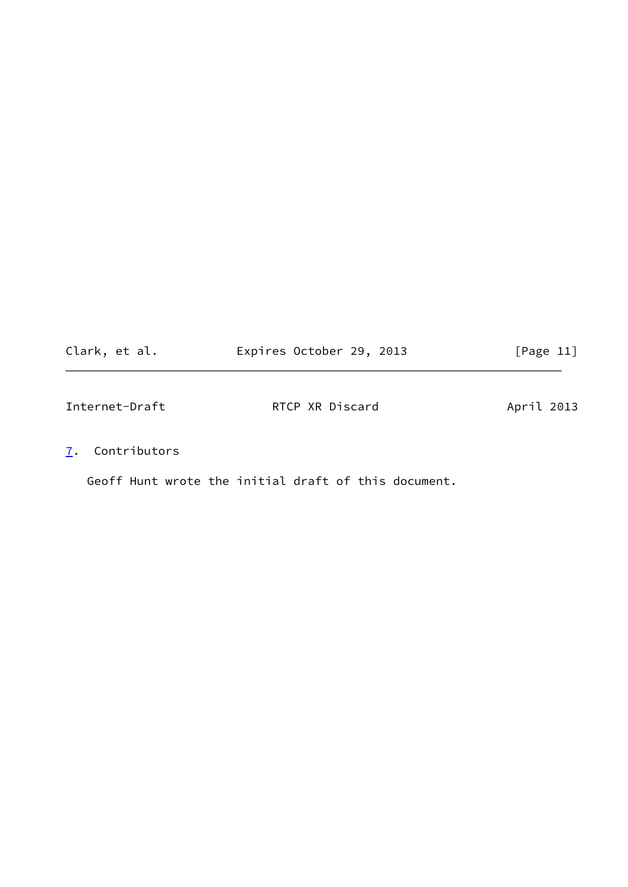<span id="page-12-1"></span>

| Clark, et al.  | Expires October 29, 2013 | [Page 11]  |
|----------------|--------------------------|------------|
| Internet-Draft | RTCP XR Discard          | April 2013 |

<span id="page-12-0"></span>[7](#page-12-0). Contributors

Geoff Hunt wrote the initial draft of this document.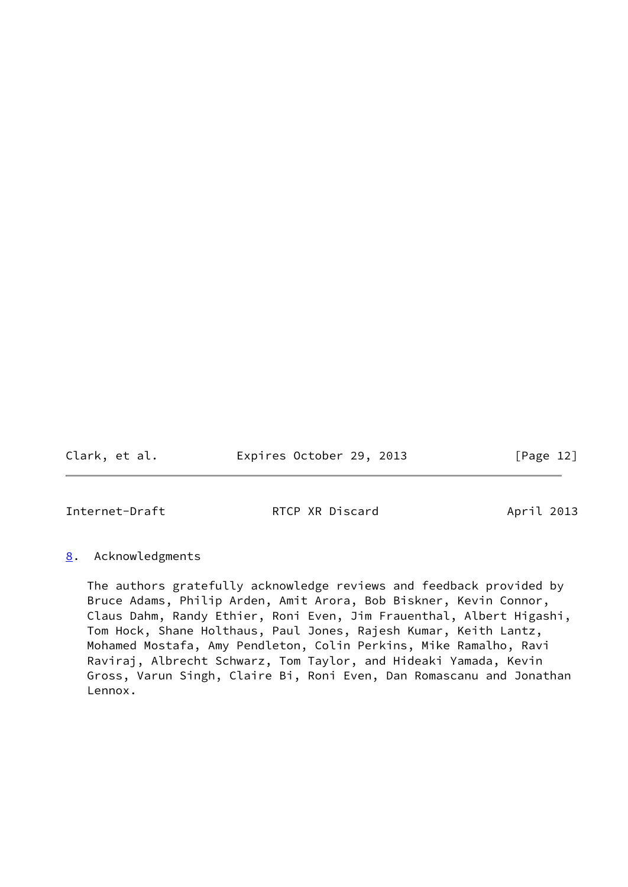Clark, et al. **Expires October 29, 2013** [Page 12]

<span id="page-13-1"></span>Internet-Draft **RTCP XR Discard** April 2013

## <span id="page-13-0"></span>[8](#page-13-0). Acknowledgments

 The authors gratefully acknowledge reviews and feedback provided by Bruce Adams, Philip Arden, Amit Arora, Bob Biskner, Kevin Connor, Claus Dahm, Randy Ethier, Roni Even, Jim Frauenthal, Albert Higashi, Tom Hock, Shane Holthaus, Paul Jones, Rajesh Kumar, Keith Lantz, Mohamed Mostafa, Amy Pendleton, Colin Perkins, Mike Ramalho, Ravi Raviraj, Albrecht Schwarz, Tom Taylor, and Hideaki Yamada, Kevin Gross, Varun Singh, Claire Bi, Roni Even, Dan Romascanu and Jonathan Lennox.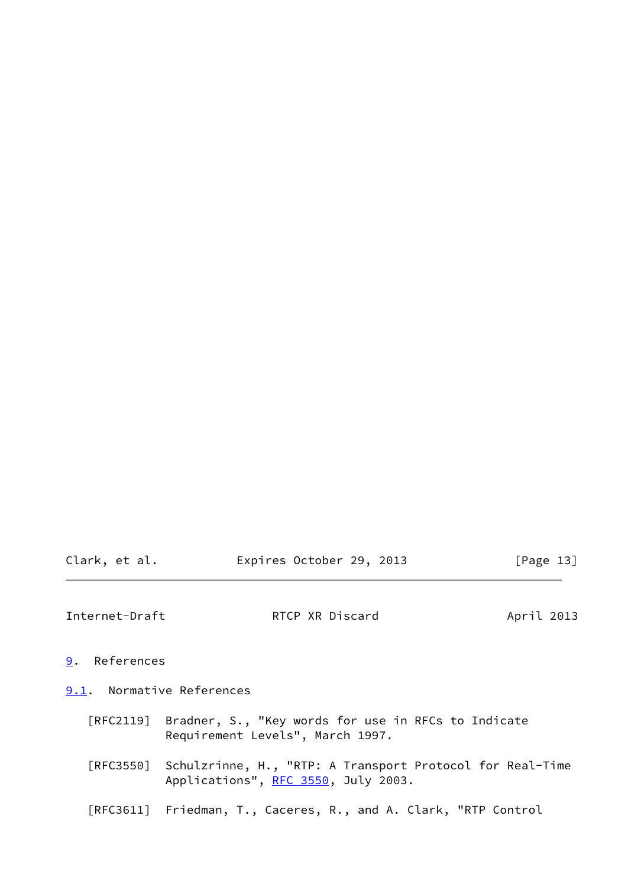<span id="page-14-1"></span>

| Clark, et al. | Expires October 29, 2013 |  | [Page 13] |
|---------------|--------------------------|--|-----------|
|               |                          |  |           |

- <span id="page-14-0"></span>[9](#page-14-0). References
- <span id="page-14-2"></span>[9.1](#page-14-2). Normative References
	- [RFC2119] Bradner, S., "Key words for use in RFCs to Indicate Requirement Levels", March 1997.
	- [RFC3550] Schulzrinne, H., "RTP: A Transport Protocol for Real-Time Applications", [RFC 3550](https://datatracker.ietf.org/doc/pdf/rfc3550), July 2003.
	- [RFC3611] Friedman, T., Caceres, R., and A. Clark, "RTP Control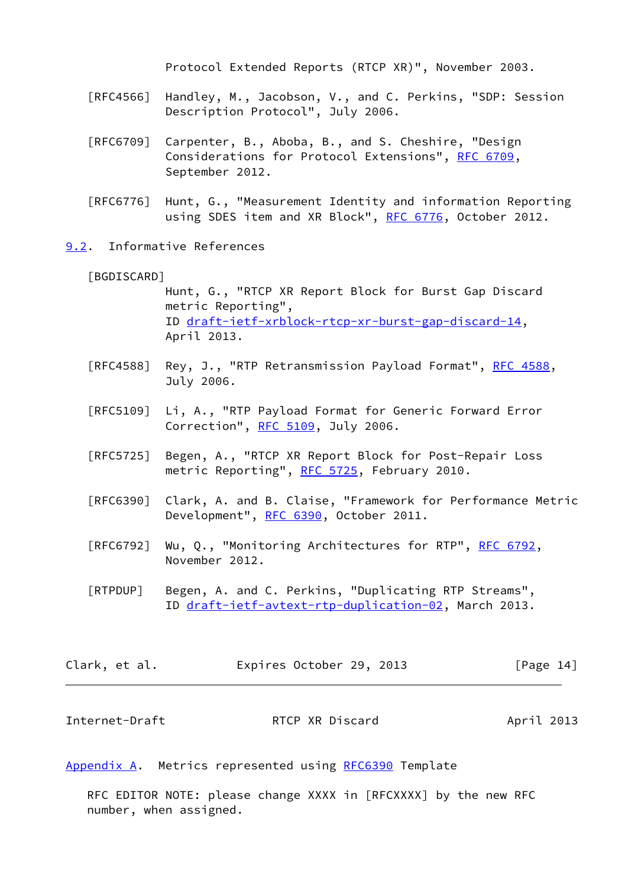Protocol Extended Reports (RTCP XR)", November 2003.

- [RFC4566] Handley, M., Jacobson, V., and C. Perkins, "SDP: Session Description Protocol", July 2006.
- [RFC6709] Carpenter, B., Aboba, B., and S. Cheshire, "Design Considerations for Protocol Extensions", [RFC 6709,](https://datatracker.ietf.org/doc/pdf/rfc6709) September 2012.
- [RFC6776] Hunt, G., "Measurement Identity and information Reporting using SDES item and XR Block", [RFC 6776](https://datatracker.ietf.org/doc/pdf/rfc6776), October 2012.
- <span id="page-15-3"></span><span id="page-15-0"></span>[9.2](#page-15-0). Informative References
	- [BGDISCARD]
		- Hunt, G., "RTCP XR Report Block for Burst Gap Discard metric Reporting", ID [draft-ietf-xrblock-rtcp-xr-burst-gap-discard-14](https://datatracker.ietf.org/doc/pdf/draft-ietf-xrblock-rtcp-xr-burst-gap-discard-14), April 2013.
	- [RFC4588] Rey, J., "RTP Retransmission Payload Format", [RFC 4588](https://datatracker.ietf.org/doc/pdf/rfc4588), July 2006.
	- [RFC5109] Li, A., "RTP Payload Format for Generic Forward Error Correction", [RFC 5109](https://datatracker.ietf.org/doc/pdf/rfc5109), July 2006.
	- [RFC5725] Begen, A., "RTCP XR Report Block for Post-Repair Loss metric Reporting", [RFC 5725](https://datatracker.ietf.org/doc/pdf/rfc5725), February 2010.
	- [RFC6390] Clark, A. and B. Claise, "Framework for Performance Metric Development", [RFC 6390](https://datatracker.ietf.org/doc/pdf/rfc6390), October 2011.
	- [RFC6792] Wu, Q., "Monitoring Architectures for RTP", [RFC 6792,](https://datatracker.ietf.org/doc/pdf/rfc6792) November 2012.
	- [RTPDUP] Begen, A. and C. Perkins, "Duplicating RTP Streams", ID [draft-ietf-avtext-rtp-duplication-02](https://datatracker.ietf.org/doc/pdf/draft-ietf-avtext-rtp-duplication-02), March 2013.

<span id="page-15-4"></span>

| Clark, et al. | Expires October 29, 2013 |  | [Page 14] |  |
|---------------|--------------------------|--|-----------|--|
|               |                          |  |           |  |

<span id="page-15-2"></span>Internet-Draft **RTCP XR Discard** April 2013

## <span id="page-15-1"></span>[Appendix A.](#page-15-1) Metrics represented using [RFC6390](https://datatracker.ietf.org/doc/pdf/rfc6390) Template

 RFC EDITOR NOTE: please change XXXX in [RFCXXXX] by the new RFC number, when assigned.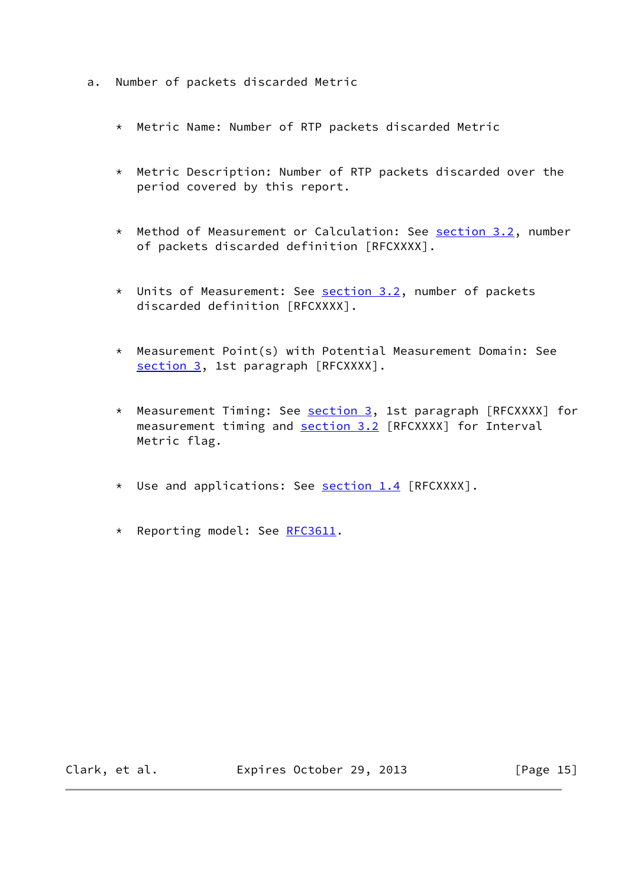- a. Number of packets discarded Metric
	- \* Metric Name: Number of RTP packets discarded Metric
	- \* Metric Description: Number of RTP packets discarded over the period covered by this report.
	- \* Method of Measurement or Calculation: See [section 3.2](#page-6-0), number of packets discarded definition [RFCXXXX].
	- \* Units of Measurement: See [section 3.2](#page-6-0), number of packets discarded definition [RFCXXXX].
	- \* Measurement Point(s) with Potential Measurement Domain: See [section 3,](#page-5-0) 1st paragraph [RFCXXXX].
	- \* Measurement Timing: See **section 3**, 1st paragraph [RFCXXXX] for measurement timing and [section 3.2](#page-6-0) [RFCXXXX] for Interval Metric flag.
	- \* Use and applications: See **section 1.4** [RFCXXXX].
	- \* Reporting model: See [RFC3611.](https://datatracker.ietf.org/doc/pdf/rfc3611)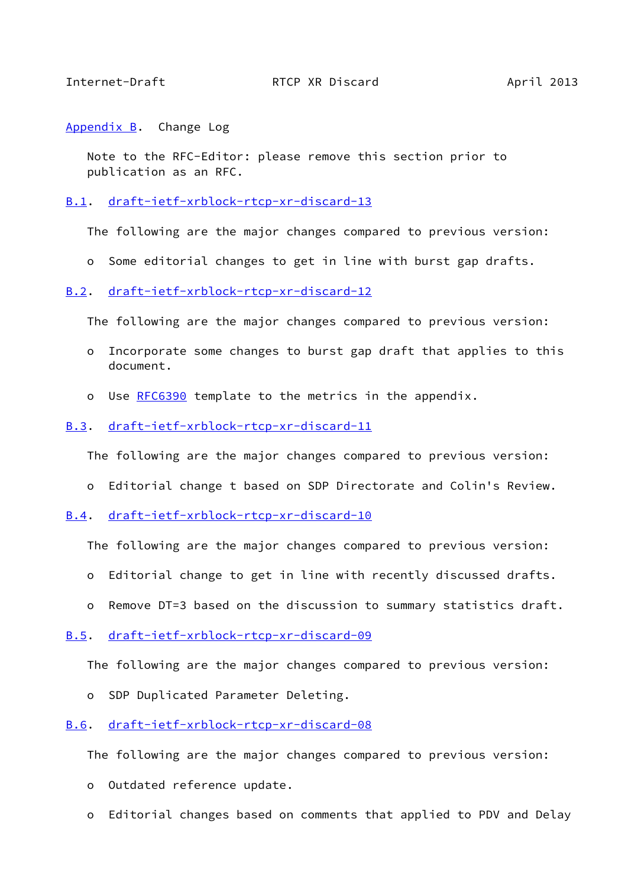<span id="page-17-1"></span><span id="page-17-0"></span>[Appendix B.](#page-17-0) Change Log

 Note to the RFC-Editor: please remove this section prior to publication as an RFC.

<span id="page-17-2"></span>[B.1](#page-17-2). [draft-ietf-xrblock-rtcp-xr-discard-13](https://datatracker.ietf.org/doc/pdf/draft-ietf-xrblock-rtcp-xr-discard-13)

The following are the major changes compared to previous version:

o Some editorial changes to get in line with burst gap drafts.

## <span id="page-17-3"></span>[B.2](#page-17-3). [draft-ietf-xrblock-rtcp-xr-discard-12](https://datatracker.ietf.org/doc/pdf/draft-ietf-xrblock-rtcp-xr-discard-12)

The following are the major changes compared to previous version:

- o Incorporate some changes to burst gap draft that applies to this document.
- o Use [RFC6390](https://datatracker.ietf.org/doc/pdf/rfc6390) template to the metrics in the appendix.

## <span id="page-17-4"></span>[B.3](#page-17-4). [draft-ietf-xrblock-rtcp-xr-discard-11](https://datatracker.ietf.org/doc/pdf/draft-ietf-xrblock-rtcp-xr-discard-11)

The following are the major changes compared to previous version:

- o Editorial change t based on SDP Directorate and Colin's Review.
- <span id="page-17-5"></span>[B.4](#page-17-5). [draft-ietf-xrblock-rtcp-xr-discard-10](https://datatracker.ietf.org/doc/pdf/draft-ietf-xrblock-rtcp-xr-discard-10)

The following are the major changes compared to previous version:

- o Editorial change to get in line with recently discussed drafts.
- o Remove DT=3 based on the discussion to summary statistics draft.
- <span id="page-17-6"></span>[B.5](#page-17-6). [draft-ietf-xrblock-rtcp-xr-discard-09](https://datatracker.ietf.org/doc/pdf/draft-ietf-xrblock-rtcp-xr-discard-09)

The following are the major changes compared to previous version:

o SDP Duplicated Parameter Deleting.

## <span id="page-17-7"></span>[B.6](#page-17-7). [draft-ietf-xrblock-rtcp-xr-discard-08](https://datatracker.ietf.org/doc/pdf/draft-ietf-xrblock-rtcp-xr-discard-08)

The following are the major changes compared to previous version:

- o Outdated reference update.
- o Editorial changes based on comments that applied to PDV and Delay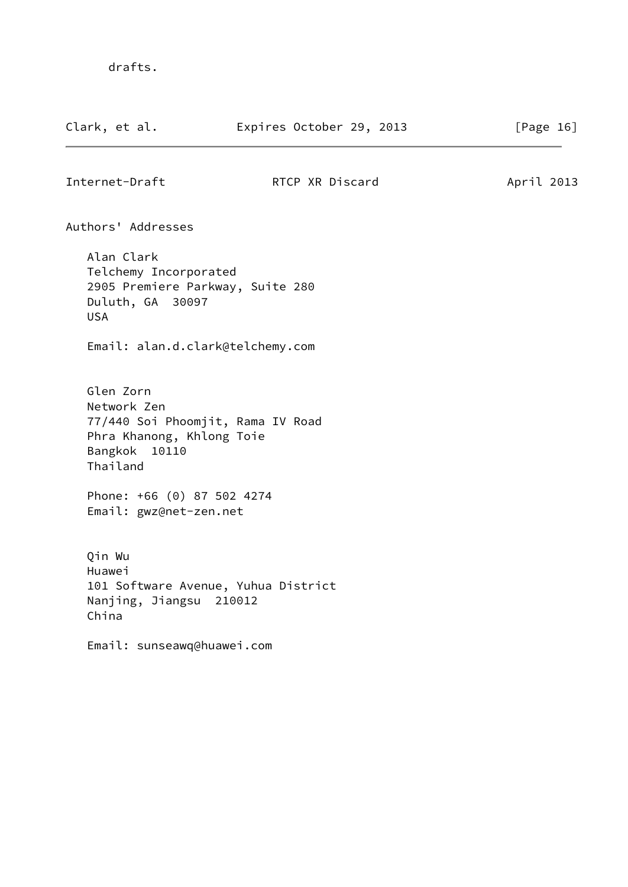<span id="page-18-0"></span>

| Clark, et al.                                                                                             | Expires October 29, 2013            | [Page $16$ ] |
|-----------------------------------------------------------------------------------------------------------|-------------------------------------|--------------|
| Internet-Draft                                                                                            | RTCP XR Discard                     | April 2013   |
| Authors' Addresses                                                                                        |                                     |              |
| Alan Clark<br>Telchemy Incorporated<br>2905 Premiere Parkway, Suite 280<br>Duluth, GA 30097<br><b>USA</b> |                                     |              |
| Email: alan.d.clark@telchemy.com                                                                          |                                     |              |
| Glen Zorn<br>Network Zen<br>Phra Khanong, Khlong Toie<br>Bangkok<br>10110<br>Thailand                     | 77/440 Soi Phoomjit, Rama IV Road   |              |
| Phone: +66 (0) 87 502 4274<br>Email: gwz@net-zen.net                                                      |                                     |              |
| Qin Wu<br>Huawei<br>Nanjing, Jiangsu 210012<br>China                                                      | 101 Software Avenue, Yuhua District |              |
| Email: sunseawq@huawei.com                                                                                |                                     |              |
|                                                                                                           |                                     |              |